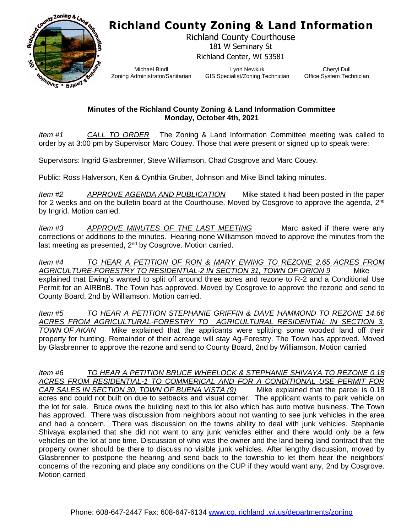## **Richland County Zoning & Land Information**



Richland County Courthouse 181 W Seminary St Richland Center, WI 53581

Michael Bindl Zoning Administrator/Sanitarian

Lynn Newkirk GIS Specialist/Zoning Technician

Cheryl Dull Office System Technician

## **Minutes of the Richland County Zoning & Land Information Committee Monday, October 4th, 2021**

*Item #1 CALL TO ORDER* The Zoning & Land Information Committee meeting was called to order by at 3:00 pm by Supervisor Marc Couey. Those that were present or signed up to speak were:

Supervisors: Ingrid Glasbrenner, Steve Williamson, Chad Cosgrove and Marc Couey.

Public: Ross Halverson, Ken & Cynthia Gruber, Johnson and Mike Bindl taking minutes.

*Item #2 APPROVE AGENDA AND PUBLICATION* Mike stated it had been posted in the paper for 2 weeks and on the bulletin board at the Courthouse. Moved by Cosgrove to approve the agenda, 2<sup>nd</sup> by Ingrid. Motion carried.

*Item #3* APPROVE MINUTES OF THE LAST MEETING Marc asked if there were any corrections or additions to the minutes. Hearing none Williamson moved to approve the minutes from the last meeting as presented,  $2<sup>nd</sup>$  by Cosgrove. Motion carried.

*Item #4 TO HEAR A PETITION OF RON & MARY EWING TO REZONE 2.65 ACRES FROM AGRICULTURE-FORESTRY TO RESIDENTIAL-2 IN SECTION 31, TOWN OF ORION 9* Mike explained that Ewing's wanted to split off around three acres and rezone to R-2 and a Conditional Use Permit for an AIRBnB. The Town has approved. Moved by Cosgrove to approve the rezone and send to County Board, 2nd by Williamson. Motion carried.

*Item #5 TO HEAR A PETITION STEPHANIE GRIFFIN & DAVE HAMMOND TO REZONE 14.66 ACRES FROM AGRICULTURAL-FORESTRY TO AGRICULTURAL RESIDENTIAL IN SECTION 3, TOWN OF AKAN* Mike explained that the applicants were splitting some wooded land off their property for hunting. Remainder of their acreage will stay Ag-Forestry. The Town has approved. Moved by Glasbrenner to approve the rezone and send to County Board, 2nd by Williamson. Motion carried

*Item #6 TO HEAR A PETITION BRUCE WHEELOCK & STEPHANIE SHIVAYA TO REZONE 0.18 ACRES FROM RESIDENTIAL-1 TO COMMERICAL AND FOR A CONDITIONAL USE PERMIT FOR CAR SALES IN SECTION 30, TOWN OF BUENA VISTA (9)* Mike explained that the parcel is 0.18 acres and could not built on due to setbacks and visual corner. The applicant wants to park vehicle on the lot for sale. Bruce owns the building next to this lot also which has auto motive business. The Town has approved. There was discussion from neighbors about not wanting to see junk vehicles in the area and had a concern. There was discussion on the towns ability to deal with junk vehicles. Stephanie Shivaya explained that she did not want to any junk vehicles either and there would only be a few vehicles on the lot at one time. Discussion of who was the owner and the land being land contract that the property owner should be there to discuss no visible junk vehicles. After lengthy discussion, moved by Glasbrenner to postpone the hearing and send back to the township to let them hear the neighbors' concerns of the rezoning and place any conditions on the CUP if they would want any, 2nd by Cosgrove. Motion carried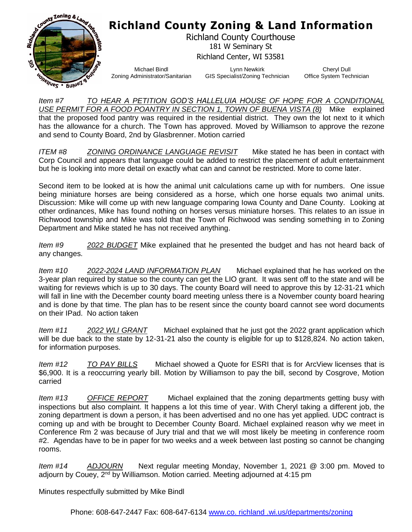

## **Richland County Zoning & Land Information**

Richland County Courthouse 181 W Seminary St Richland Center, WI 53581

Michael Bindl Zoning Administrator/Sanitarian

Lynn Newkirk GIS Specialist/Zoning Technician

Cheryl Dull Office System Technician

*Item #7 TO HEAR A PETITION GOD'S HALLELUIA HOUSE OF HOPE FOR A CONDITIONAL USE PERMIT FOR A FOOD POANTRY IN SECTION 1, TOWN OF BUENA VISTA (8)* Mike explained that the proposed food pantry was required in the residential district. They own the lot next to it which has the allowance for a church. The Town has approved. Moved by Williamson to approve the rezone and send to County Board, 2nd by Glasbrenner. Motion carried

*ITEM #8 ZONING ORDINANCE LANGUAGE REVISIT* Mike stated he has been in contact with Corp Council and appears that language could be added to restrict the placement of adult entertainment but he is looking into more detail on exactly what can and cannot be restricted. More to come later.

Second item to be looked at is how the animal unit calculations came up with for numbers. One issue being miniature horses are being considered as a horse, which one horse equals two animal units. Discussion: Mike will come up with new language comparing Iowa County and Dane County. Looking at other ordinances, Mike has found nothing on horses versus miniature horses. This relates to an issue in Richwood township and Mike was told that the Town of Richwood was sending something in to Zoning Department and Mike stated he has not received anything.

*Item #9 2022 BUDGET* Mike explained that he presented the budget and has not heard back of any changes.

*Item #10 2022-2024 LAND INFORMATION PLAN* Michael explained that he has worked on the 3-year plan required by statue so the county can get the LIO grant. It was sent off to the state and will be waiting for reviews which is up to 30 days. The county Board will need to approve this by 12-31-21 which will fall in line with the December county board meeting unless there is a November county board hearing and is done by that time. The plan has to be resent since the county board cannot see word documents on their IPad. No action taken

*Item #11 2022 WLI GRANT* Michael explained that he just got the 2022 grant application which will be due back to the state by 12-31-21 also the county is eligible for up to \$128,824. No action taken, for information purposes.

*Item #12 TO PAY BILLS* Michael showed a Quote for ESRI that is for ArcView licenses that is \$6,900. It is a reoccurring yearly bill. Motion by Williamson to pay the bill, second by Cosgrove, Motion carried

*Item #13 OFFICE REPORT* Michael explained that the zoning departments getting busy with inspections but also complaint. It happens a lot this time of year. With Cheryl taking a different job, the zoning department is down a person, it has been advertised and no one has yet applied. UDC contract is coming up and with be brought to December County Board. Michael explained reason why we meet in Conference Rm 2 was because of Jury trial and that we will most likely be meeting in conference room #2. Agendas have to be in paper for two weeks and a week between last posting so cannot be changing rooms.

*Item #14 ADJOURN* Next regular meeting Monday, November 1, 2021 @ 3:00 pm. Moved to adjourn by Couey,  $2<sup>nd</sup>$  by Williamson. Motion carried. Meeting adjourned at 4:15 pm

Minutes respectfully submitted by Mike Bindl